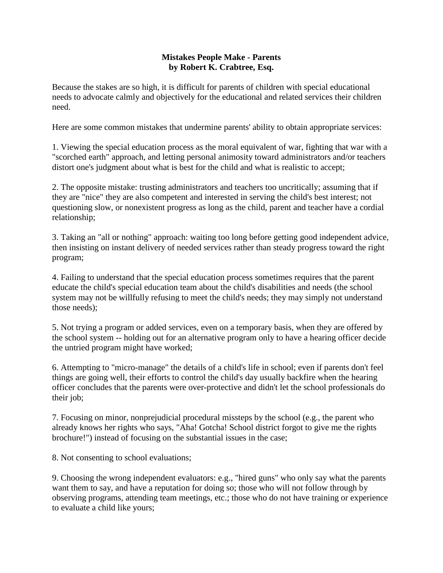## **Mistakes People Make - Parents by Robert K. Crabtree, Esq.**

Because the stakes are so high, it is difficult for parents of children with special educational needs to advocate calmly and objectively for the educational and related services their children need.

Here are some common mistakes that undermine parents' ability to obtain appropriate services:

1. Viewing the special education process as the moral equivalent of war, fighting that war with a "scorched earth" approach, and letting personal animosity toward administrators and/or teachers distort one's judgment about what is best for the child and what is realistic to accept;

2. The opposite mistake: trusting administrators and teachers too uncritically; assuming that if they are "nice" they are also competent and interested in serving the child's best interest; not questioning slow, or nonexistent progress as long as the child, parent and teacher have a cordial relationship;

3. Taking an "all or nothing" approach: waiting too long before getting good independent advice, then insisting on instant delivery of needed services rather than steady progress toward the right program;

4. Failing to understand that the special education process sometimes requires that the parent educate the child's special education team about the child's disabilities and needs (the school system may not be willfully refusing to meet the child's needs; they may simply not understand those needs);

5. Not trying a program or added services, even on a temporary basis, when they are offered by the school system -- holding out for an alternative program only to have a hearing officer decide the untried program might have worked;

6. Attempting to "micro-manage" the details of a child's life in school; even if parents don't feel things are going well, their efforts to control the child's day usually backfire when the hearing officer concludes that the parents were over-protective and didn't let the school professionals do their job;

7. Focusing on minor, nonprejudicial procedural missteps by the school (e.g., the parent who already knows her rights who says, "Aha! Gotcha! School district forgot to give me the rights brochure!") instead of focusing on the substantial issues in the case;

8. Not consenting to school evaluations;

9. Choosing the wrong independent evaluators: e.g., "hired guns" who only say what the parents want them to say, and have a reputation for doing so; those who will not follow through by observing programs, attending team meetings, etc.; those who do not have training or experience to evaluate a child like yours;